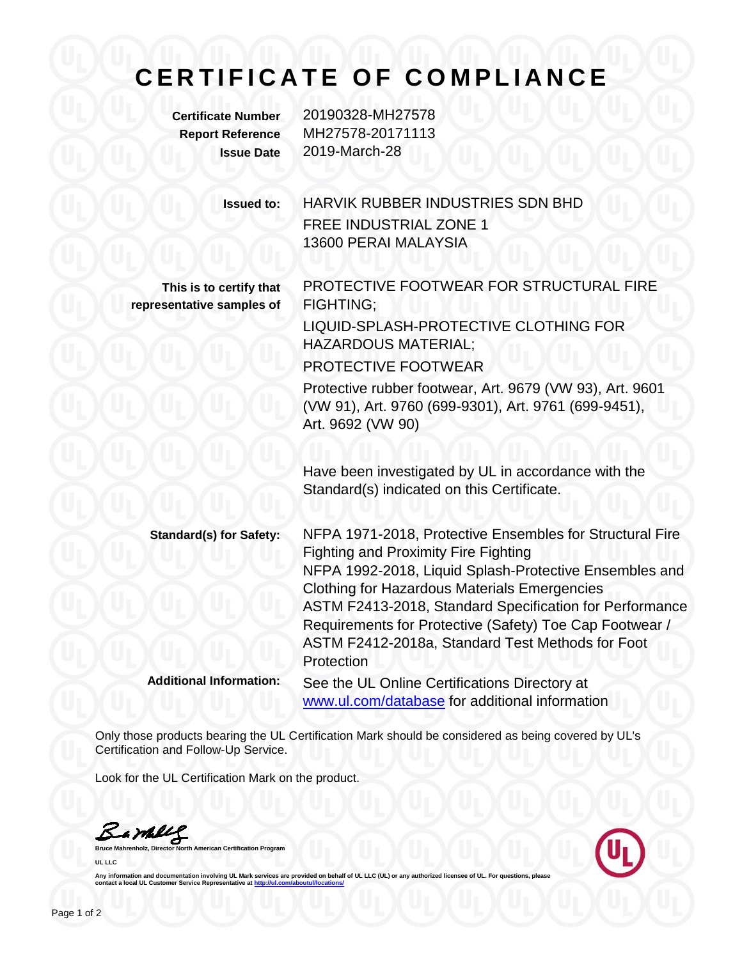## **C E R T I F I C A T E O F C O M P L I A N C E**

**Certificate Number** 20190328-MH27578 **Report Reference** MH27578-20171113 **Issue Date** 2019-March-28

> **Issued to:** HARVIK RUBBER INDUSTRIES SDN BHD FREE INDUSTRIAL ZONE 1 13600 PERAI MALAYSIA

**This is to certify that representative samples of**

PROTECTIVE FOOTWEAR FOR STRUCTURAL FIRE FIGHTING;

LIQUID-SPLASH-PROTECTIVE CLOTHING FOR HAZARDOUS MATERIAL;

PROTECTIVE FOOTWEAR

Protective rubber footwear, Art. 9679 (VW 93), Art. 9601 (VW 91), Art. 9760 (699-9301), Art. 9761 (699-9451), Art. 9692 (VW 90)

Have been investigated by UL in accordance with the Standard(s) indicated on this Certificate.

**Standard(s) for Safety:** NFPA 1971-2018, Protective Ensembles for Structural Fire Fighting and Proximity Fire Fighting NFPA 1992-2018, Liquid Splash-Protective Ensembles and Clothing for Hazardous Materials Emergencies ASTM F2413-2018, Standard Specification for Performance Requirements for Protective (Safety) Toe Cap Footwear / ASTM F2412-2018a, Standard Test Methods for Foot **Protection Additional Information:** See the UL Online Certifications Directory at

[www.ul.com/database](http://www.ul.com/database) for additional information

Only those products bearing the UL Certification Mark should be considered as being covered by UL's Certification and Follow-Up Service.

Look for the UL Certification Mark on the product.

Barkey

**Bruce Mahrenholz, Director North American Certification Program UL LLC**



Any information and documentation involving UL Mark services are provided on behalf of UL LLC (UL) or any authorized licensee of UL. For questions, please<br>contact a local UL Customer Service Representative at <u>http://ul.co</u>